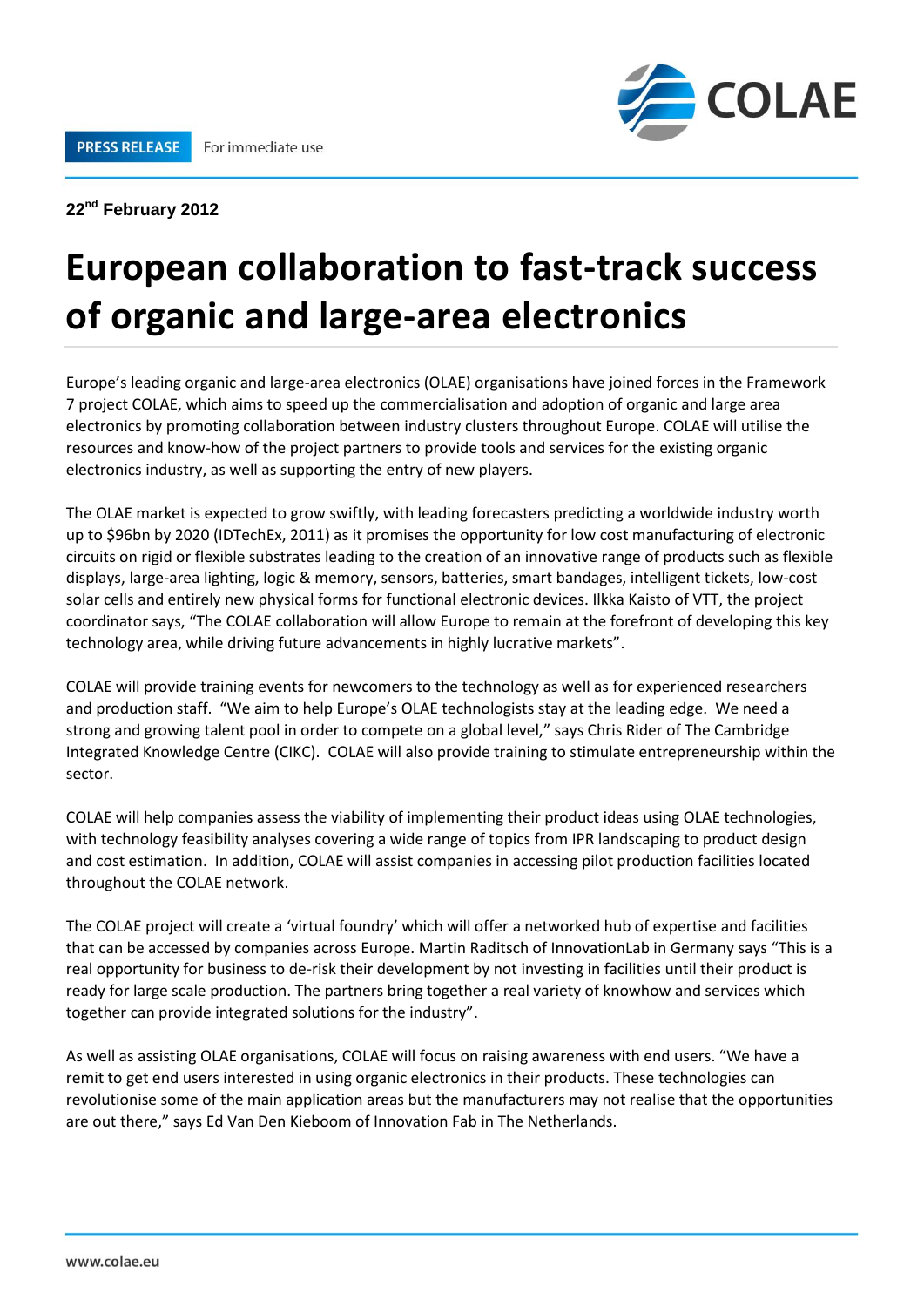

## **22nd February 2012**

## **European collaboration to fast-track success of organic and large-area electronics**

Europe's leading organic and large-area electronics (OLAE) organisations have joined forces in the Framework 7 project COLAE, which aims to speed up the commercialisation and adoption of organic and large area electronics by promoting collaboration between industry clusters throughout Europe. COLAE will utilise the resources and know-how of the project partners to provide tools and services for the existing organic electronics industry, as well as supporting the entry of new players.

The OLAE market is expected to grow swiftly, with leading forecasters predicting a worldwide industry worth up to \$96bn by 2020 (IDTechEx, 2011) as it promises the opportunity for low cost manufacturing of electronic circuits on rigid or flexible substrates leading to the creation of an innovative range of products such as flexible displays, large-area lighting, logic & memory, sensors, batteries, smart bandages, intelligent tickets, low-cost solar cells and entirely new physical forms for functional electronic devices. Ilkka Kaisto of VTT, the project coordinator says, "The COLAE collaboration will allow Europe to remain at the forefront of developing this key technology area, while driving future advancements in highly lucrative markets".

COLAE will provide training events for newcomers to the technology as well as for experienced researchers and production staff. "We aim to help Europe's OLAE technologists stay at the leading edge. We need a strong and growing talent pool in order to compete on a global level," says Chris Rider of The Cambridge Integrated Knowledge Centre (CIKC). COLAE will also provide training to stimulate entrepreneurship within the sector.

COLAE will help companies assess the viability of implementing their product ideas using OLAE technologies, with technology feasibility analyses covering a wide range of topics from IPR landscaping to product design and cost estimation. In addition, COLAE will assist companies in accessing pilot production facilities located throughout the COLAE network.

The COLAE project will create a 'virtual foundry' which will offer a networked hub of expertise and facilities that can be accessed by companies across Europe. Martin Raditsch of InnovationLab in Germany says "This is a real opportunity for business to de-risk their development by not investing in facilities until their product is ready for large scale production. The partners bring together a real variety of knowhow and services which together can provide integrated solutions for the industry".

As well as assisting OLAE organisations, COLAE will focus on raising awareness with end users. "We have a remit to get end users interested in using organic electronics in their products. These technologies can revolutionise some of the main application areas but the manufacturers may not realise that the opportunities are out there," says Ed Van Den Kieboom of Innovation Fab in The Netherlands.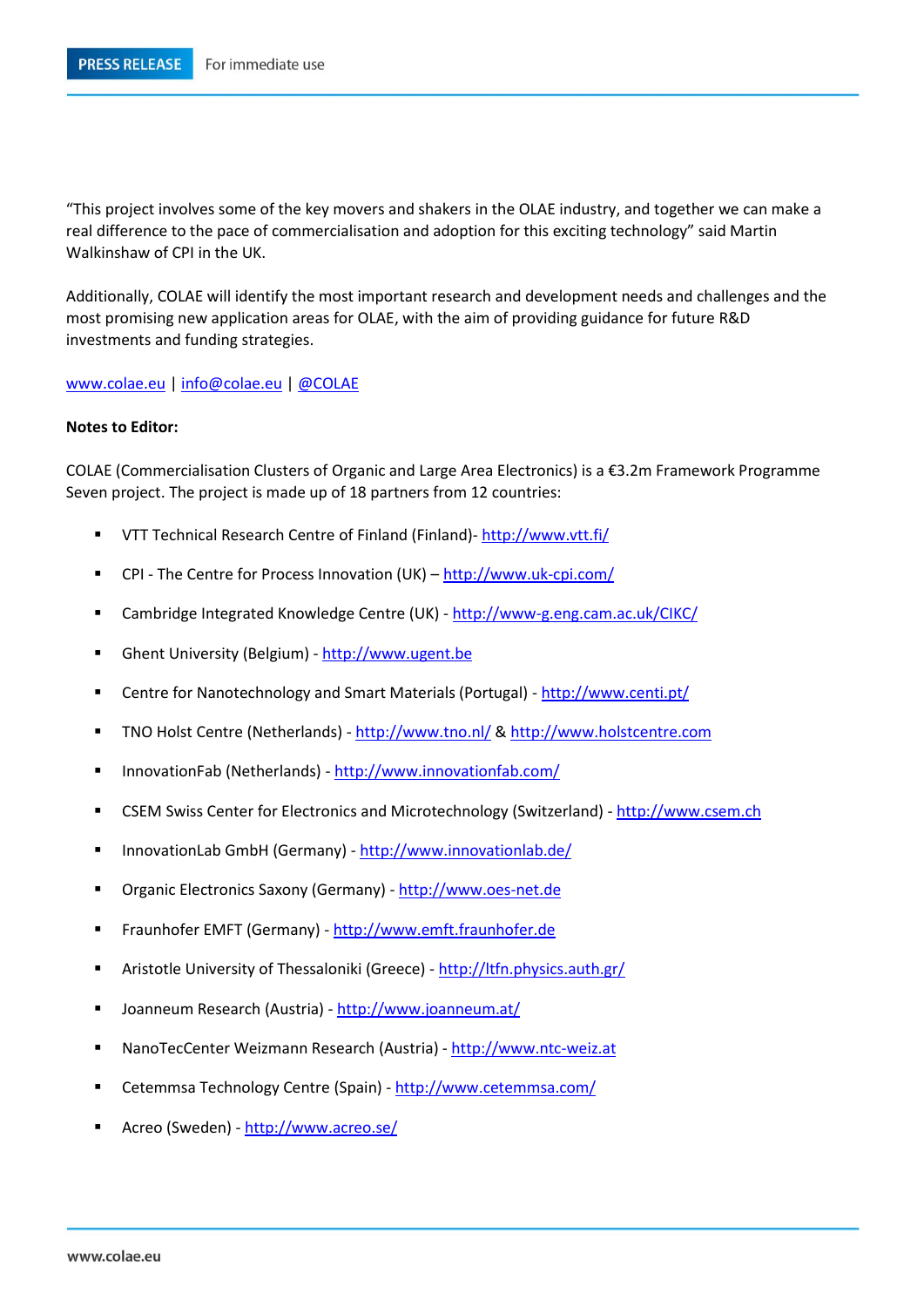"This project involves some of the key movers and shakers in the OLAE industry, and together we can make a real difference to the pace of commercialisation and adoption for this exciting technology" said Martin Walkinshaw of CPI in the UK.

Additionally, COLAE will identify the most important research and development needs and challenges and the most promising new application areas for OLAE, with the aim of providing guidance for future R&D investments and funding strategies.

[www.colae.eu](http://www.colae.eu/) [| info@colae.eu](mailto:info@colae.eu) | [@COLAE](https://twitter.com/colae)

## **Notes to Editor:**

COLAE (Commercialisation Clusters of Organic and Large Area Electronics) is a €3.2m Framework Programme Seven project. The project is made up of 18 partners from 12 countries:

- VTT Technical Research Centre of Finland (Finland)- <http://www.vtt.fi/>
- CPI The Centre for Process Innovation (UK) <http://www.uk-cpi.com/>
- Cambridge Integrated Knowledge Centre (UK) <http://www-g.eng.cam.ac.uk/CIKC/>
- Ghent University (Belgium) [http://www.ugent.be](http://www.ugent.be/)
- Centre for Nanotechnology and Smart Materials (Portugal) <http://www.centi.pt/>
- TNO Holst Centre (Netherlands) <http://www.tno.nl/> & [http://www.holstcentre.com](blocked::http://www.holstcentre.comdisclaimer/)
- InnovationFab (Netherlands) <http://www.innovationfab.com/>
- CSEM Swiss Center for Electronics and Microtechnology (Switzerland) [http://www.csem.ch](http://www.csem.ch/)
- InnovationLab GmbH (Germany) <http://www.innovationlab.de/>
- **Drganic Electronics Saxony (Germany)** [http://www.oes-net.de](http://www.oes-net.de/)
- Fraunhofer EMFT (Germany) [http://www.emft.fraunhofer.de](http://www.emft.fraunhofer.de/)
- Aristotle University of Thessaloniki (Greece) <http://ltfn.physics.auth.gr/>
- Joanneum Research (Austria) <http://www.joanneum.at/>
- NanoTecCenter Weizmann Research (Austria) [http://www.ntc-weiz.at](http://www.ntc-weiz.at/)
- Cetemmsa Technology Centre (Spain) <http://www.cetemmsa.com/>
- Acreo (Sweden) <http://www.acreo.se/>